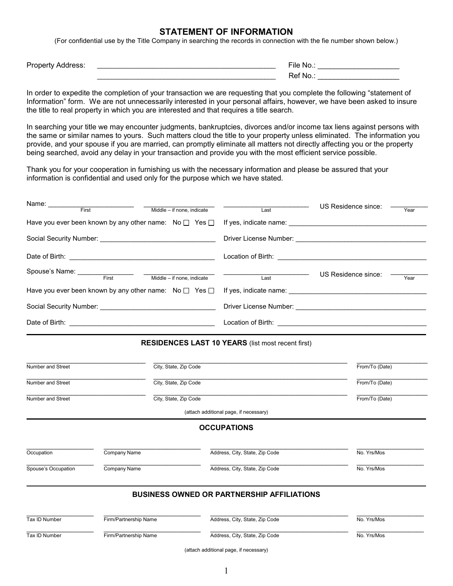## **STATEMENT OF INFORMATION**

(For confidential use by the Title Company in searching the records in connection with the fie number shown below.)

Property Address:

| Property<br>------<br>: Address.<br>- - - | $- \cdot \cdot$<br>File<br>Nr.<br>w. |
|-------------------------------------------|--------------------------------------|
|                                           | $\sim$<br>Ref No.:                   |

In order to expedite the completion of your transaction we are requesting that you complete the following "statement of Information" form. We are not unnecessarily interested in your personal affairs, however, we have been asked to insure the title to real property in which you are interested and that requires a title search.

In searching your title we may encounter judgments, bankruptcies, divorces and/or income tax liens against persons with the same or similar names to yours. Such matters cloud the title to your property unless eliminated. The information you provide, and your spouse if you are married, can promptly eliminate all matters not directly affecting you or the property being searched, avoid any delay in your transaction and provide you with the most efficient service possible.

Thank you for your cooperation in furnishing us with the necessary information and please be assured that your information is confidential and used only for the purpose which we have stated.

| Name: First Theorem The Text<br>Middle - if none, indicate | US Residence since:<br>Last<br>Year                                                                      |  |  |  |  |  |  |
|------------------------------------------------------------|----------------------------------------------------------------------------------------------------------|--|--|--|--|--|--|
|                                                            | Have you ever been known by any other name: $N \circ \Box$ Yes $\Box$ If yes, indicate name:             |  |  |  |  |  |  |
|                                                            |                                                                                                          |  |  |  |  |  |  |
|                                                            |                                                                                                          |  |  |  |  |  |  |
| Spouse's Name: First Middle - if none, indicate            | US Residence since:<br>$\begin{array}{c c c c} \hline \textbf{Last} & \textbf{Last} \end{array}$<br>Year |  |  |  |  |  |  |
|                                                            |                                                                                                          |  |  |  |  |  |  |
|                                                            |                                                                                                          |  |  |  |  |  |  |
|                                                            |                                                                                                          |  |  |  |  |  |  |
| <b>RESIDENCES LAST 10 YEARS (list most recent first)</b>   |                                                                                                          |  |  |  |  |  |  |

| Number and Street   | City, State, Zip Code |                                                   | From/To (Date) |
|---------------------|-----------------------|---------------------------------------------------|----------------|
| Number and Street   | City, State, Zip Code |                                                   | From/To (Date) |
| Number and Street   | City, State, Zip Code |                                                   | From/To (Date) |
|                     |                       | (attach additional page, if necessary)            |                |
|                     |                       | <b>OCCUPATIONS</b>                                |                |
| Occupation          | Company Name          | Address, City, State, Zip Code                    | No. Yrs/Mos    |
| Spouse's Occupation | Company Name          | Address, City, State, Zip Code                    | No. Yrs/Mos    |
|                     |                       | <b>BUSINESS OWNED OR PARTNERSHIP AFFILIATIONS</b> |                |
| Tax ID Number       | Firm/Partnership Name | Address, City, State, Zip Code                    | No. Yrs/Mos    |
| Tax ID Number       | Firm/Partnership Name | Address, City, State, Zip Code                    | No. Yrs/Mos    |
|                     |                       | (attach additional page, if necessary)            |                |